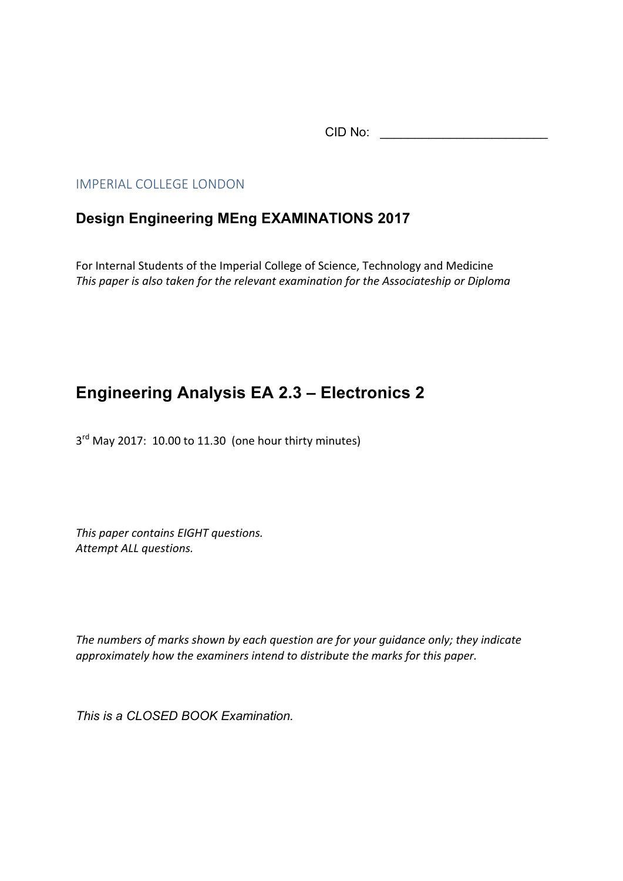CID No: \_\_\_\_\_\_\_\_\_\_\_\_\_\_\_\_\_\_\_\_\_\_\_\_

## IMPERIAL COLLEGE LONDON

## **Design Engineering MEng EXAMINATIONS 2017**

For Internal Students of the Imperial College of Science, Technology and Medicine *This paper is also taken for the relevant examination for the Associateship or Diploma* 

## **Engineering Analysis EA 2.3 – Electronics 2**

 $3<sup>rd</sup>$  May 2017: 10.00 to 11.30 (one hour thirty minutes)

This paper contains EIGHT questions. Attempt ALL questions.

The numbers of marks shown by each question are for your quidance only; they indicate approximately how the examiners intend to distribute the marks for this paper.

*This is a CLOSED BOOK Examination.*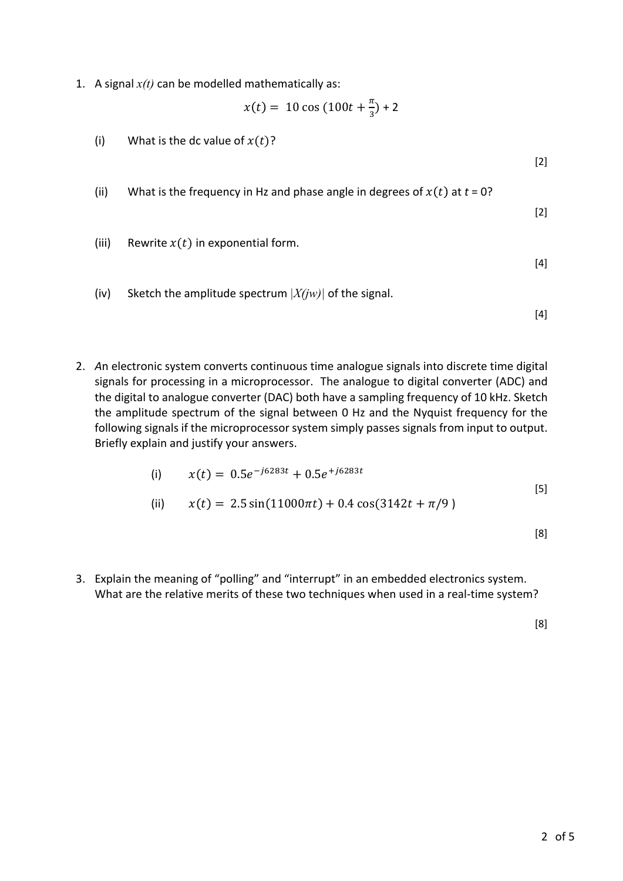1. A signal  $x(t)$  can be modelled mathematically as:

$$
x(t) = 10 \cos (100t + \frac{\pi}{3}) + 2
$$

(i) What is the dc value of  $x(t)$ ? [2] (ii) What is the frequency in Hz and phase angle in degrees of  $x(t)$  at  $t = 0$ ? [2] (iii) Rewrite  $x(t)$  in exponential form. [4] (iv) Sketch the amplitude spectrum  $|X(iw)|$  of the signal.

[4]

2. An electronic system converts continuous time analogue signals into discrete time digital signals for processing in a microprocessor. The analogue to digital converter (ADC) and the digital to analogue converter (DAC) both have a sampling frequency of 10 kHz. Sketch the amplitude spectrum of the signal between 0 Hz and the Nyquist frequency for the following signals if the microprocessor system simply passes signals from input to output. Briefly explain and justify your answers.

(i) 
$$
x(t) = 0.5e^{-j6283t} + 0.5e^{+j6283t}
$$
  
\n(ii)  $x(t) = 2.5\sin(11000\pi t) + 0.4\cos(3142t + \pi/9)$  [5]

[8]

3. Explain the meaning of "polling" and "interrupt" in an embedded electronics system. What are the relative merits of these two techniques when used in a real-time system?

[8]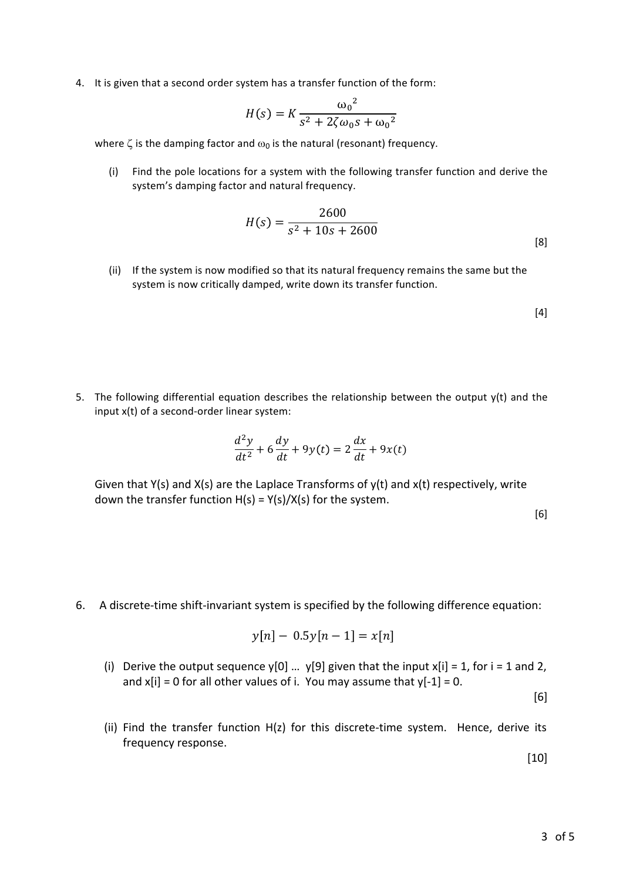4. It is given that a second order system has a transfer function of the form:

$$
H(s) = K \frac{{{\omega_0}^2}}{{s^2 + 2\zeta {\omega_0} s + {\omega_0}^2}}
$$

where  $\zeta$  is the damping factor and  $\omega_0$  is the natural (resonant) frequency.

(i) Find the pole locations for a system with the following transfer function and derive the system's damping factor and natural frequency.

$$
H(s) = \frac{2600}{s^2 + 10s + 2600}
$$
 [8]

(ii) If the system is now modified so that its natural frequency remains the same but the system is now critically damped, write down its transfer function.

[4]

5. The following differential equation describes the relationship between the output  $y(t)$  and the input  $x(t)$  of a second-order linear system:

$$
\frac{d^2y}{dt^2} + 6\frac{dy}{dt} + 9y(t) = 2\frac{dx}{dt} + 9x(t)
$$

Given that  $Y(s)$  and  $X(s)$  are the Laplace Transforms of  $y(t)$  and  $x(t)$  respectively, write down the transfer function  $H(s) = Y(s)/X(s)$  for the system.

[6]

6. A discrete-time shift-invariant system is specified by the following difference equation:

$$
y[n] - 0.5y[n-1] = x[n]
$$

(i) Derive the output sequence  $y[0]$  ...  $y[9]$  given that the input  $x[i] = 1$ , for  $i = 1$  and 2, and  $x[i] = 0$  for all other values of i. You may assume that  $y[-1] = 0$ .

[6]

(ii) Find the transfer function  $H(z)$  for this discrete-time system. Hence, derive its frequency response.

[10]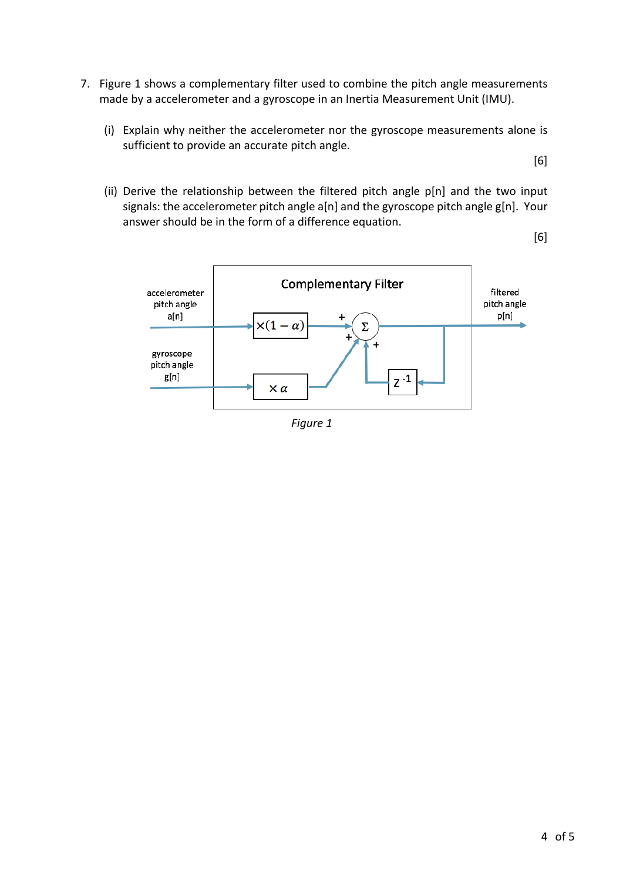- 7. Figure 1 shows a complementary filter used to combine the pitch angle measurements made by a accelerometer and a gyroscope in an Inertia Measurement Unit (IMU).
	- (i) Explain why neither the accelerometer nor the gyroscope measurements alone is sufficient to provide an accurate pitch angle.

[6]

(ii) Derive the relationship between the filtered pitch angle  $p[n]$  and the two input signals: the accelerometer pitch angle a[n] and the gyroscope pitch angle g[n]. Your answer should be in the form of a difference equation.

[6]



*Figure 1*